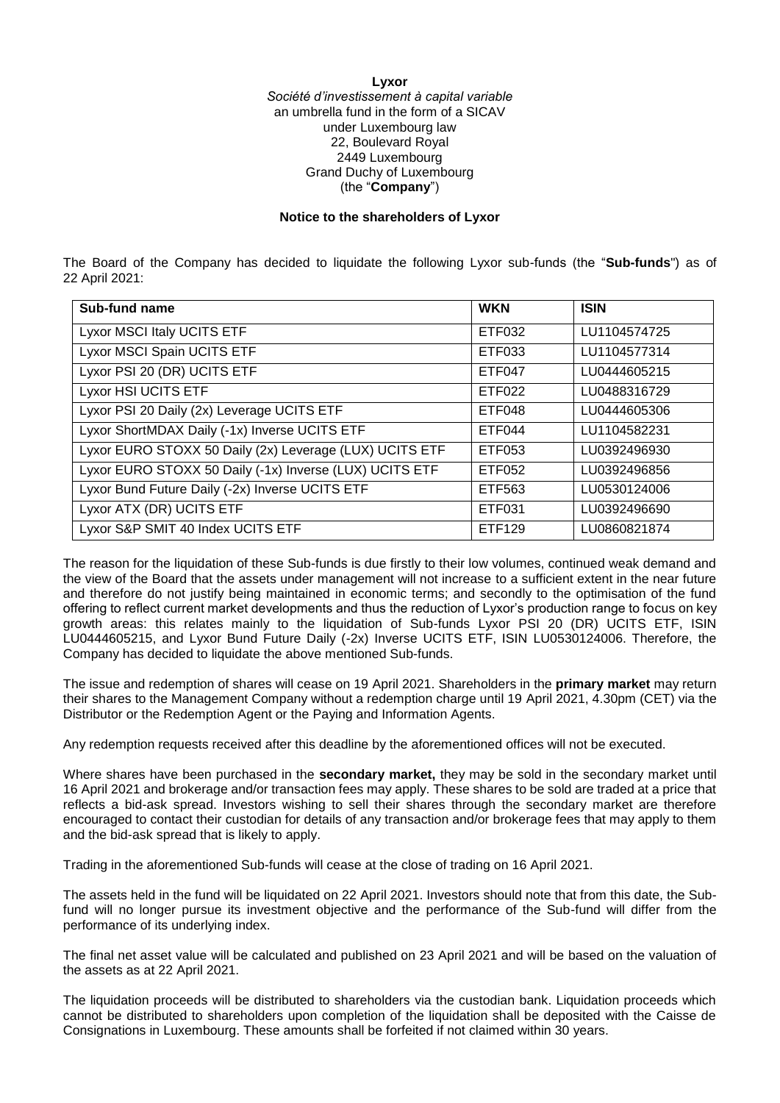## **Lyxor** *Société d'investissement à capital variable* an umbrella fund in the form of a SICAV under Luxembourg law 22, Boulevard Royal 2449 Luxembourg Grand Duchy of Luxembourg (the "**Company**")

## **Notice to the shareholders of Lyxor**

The Board of the Company has decided to liquidate the following Lyxor sub-funds (the "**Sub-funds**") as of 22 April 2021:

| Sub-fund name                                           | <b>WKN</b>    | <b>ISIN</b>  |
|---------------------------------------------------------|---------------|--------------|
| Lyxor MSCI Italy UCITS ETF                              | ETF032        | LU1104574725 |
| Lyxor MSCI Spain UCITS ETF                              | ETF033        | LU1104577314 |
| Lyxor PSI 20 (DR) UCITS ETF                             | <b>ETF047</b> | LU0444605215 |
| Lyxor HSI UCITS ETF                                     | ETF022        | LU0488316729 |
| Lyxor PSI 20 Daily (2x) Leverage UCITS ETF              | ETF048        | LU0444605306 |
| Lyxor ShortMDAX Daily (-1x) Inverse UCITS ETF           | ETF044        | LU1104582231 |
| Lyxor EURO STOXX 50 Daily (2x) Leverage (LUX) UCITS ETF | ETF053        | LU0392496930 |
| Lyxor EURO STOXX 50 Daily (-1x) Inverse (LUX) UCITS ETF | ETF052        | LU0392496856 |
| Lyxor Bund Future Daily (-2x) Inverse UCITS ETF         | ETF563        | LU0530124006 |
| Lyxor ATX (DR) UCITS ETF                                | ETF031        | LU0392496690 |
| Lyxor S&P SMIT 40 Index UCITS ETF                       | ETF129        | LU0860821874 |

The reason for the liquidation of these Sub-funds is due firstly to their low volumes, continued weak demand and the view of the Board that the assets under management will not increase to a sufficient extent in the near future and therefore do not justify being maintained in economic terms; and secondly to the optimisation of the fund offering to reflect current market developments and thus the reduction of Lyxor's production range to focus on key growth areas: this relates mainly to the liquidation of Sub-funds Lyxor PSI 20 (DR) UCITS ETF, ISIN LU0444605215, and Lyxor Bund Future Daily (-2x) Inverse UCITS ETF, ISIN LU0530124006. Therefore, the Company has decided to liquidate the above mentioned Sub-funds.

The issue and redemption of shares will cease on 19 April 2021. Shareholders in the **primary market** may return their shares to the Management Company without a redemption charge until 19 April 2021, 4.30pm (CET) via the Distributor or the Redemption Agent or the Paying and Information Agents.

Any redemption requests received after this deadline by the aforementioned offices will not be executed.

Where shares have been purchased in the **secondary market,** they may be sold in the secondary market until 16 April 2021 and brokerage and/or transaction fees may apply. These shares to be sold are traded at a price that reflects a bid-ask spread. Investors wishing to sell their shares through the secondary market are therefore encouraged to contact their custodian for details of any transaction and/or brokerage fees that may apply to them and the bid-ask spread that is likely to apply.

Trading in the aforementioned Sub-funds will cease at the close of trading on 16 April 2021.

The assets held in the fund will be liquidated on 22 April 2021. Investors should note that from this date, the Subfund will no longer pursue its investment objective and the performance of the Sub-fund will differ from the performance of its underlying index.

The final net asset value will be calculated and published on 23 April 2021 and will be based on the valuation of the assets as at 22 April 2021.

The liquidation proceeds will be distributed to shareholders via the custodian bank. Liquidation proceeds which cannot be distributed to shareholders upon completion of the liquidation shall be deposited with the Caisse de Consignations in Luxembourg. These amounts shall be forfeited if not claimed within 30 years.